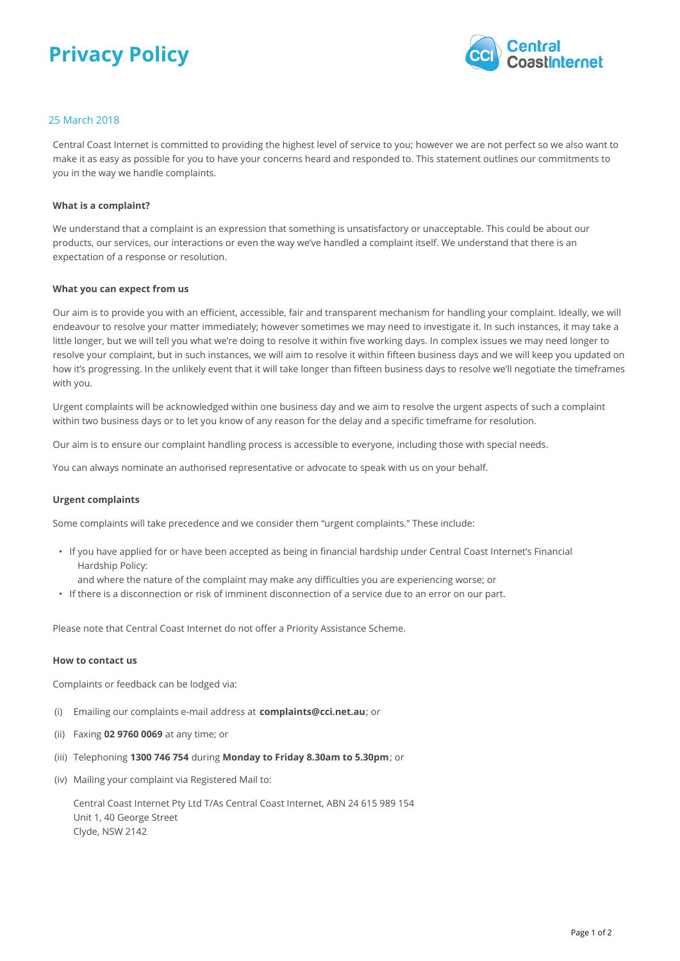# **Privacy Policy**



## 25 March 2018

Central Coast Internet is committed to providing the highest level of service to you; however we are not perfect so we also want to make it as easy as possible for you to have your concerns heard and responded to. This statement outlines our commitments to you in the way we handle complaints.

#### **What is a complaint?**

We understand that a complaint is an expression that something is unsatisfactory or unacceptable. This could be about our products, our services, our interactions or even the way we've handled a complaint itself. We understand that there is an expectation of a response or resolution.

#### **What you can expect from us**

Our aim is to provide you with an efficient, accessible, fair and transparent mechanism for handling your complaint. Ideally, we will endeavour to resolve your matter immediately; however sometimes we may need to investigate it. In such instances, it may take a little longer, but we will tell you what we're doing to resolve it within five working days. In complex issues we may need longer to resolve your complaint, but in such instances, we will aim to resolve it within fifteen business days and we will keep you updated on how it's progressing. In the unlikely event that it will take longer than fifteen business days to resolve we'll negotiate the timeframes with you.

Urgent complaints will be acknowledged within one business day and we aim to resolve the urgent aspects of such a complaint within two business days or to let you know of any reason for the delay and a specific timeframe for resolution.

Our aim is to ensure our complaint handling process is accessible to everyone, including those with special needs.

You can always nominate an authorised representative or advocate to speak with us on your behalf.

#### **Urgent complaints**

Some complaints will take precedence and we consider them "urgent complaints." These include:

- If you have applied for or have been accepted as being in financial hardship under Central Coast Internet's Financial Hardship Policy:
- and where the nature of the complaint may make any difficulties you are experiencing worse; or
- If there is a disconnection or risk of imminent disconnection of a service due to an error on our part.

Please note that Central Coast Internet do not offer a Priority Assistance Scheme.

#### **How to contact us**

Complaints or feedback can be lodged via:

- (i) Emailing our complaints e-mail address at **complaints@cci.net.au**; or
- (ii) Faxing **02 9760 0069** at any time; or
- (iii) Telephoning **1300 746 754** during **Monday to Friday 8.30am to 5.30pm**; or
- (iv) Mailing your complaint via Registered Mail to:

Central Coast Internet Pty Ltd T/As Central Coast Internet, ABN 24 615 989 154 Unit 1, 40 George Street Clyde, NSW 2142